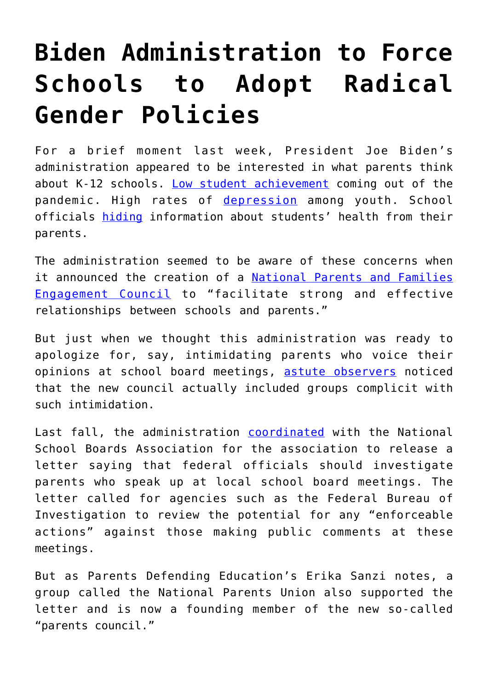## **[Biden Administration to Force](https://intellectualtakeout.org/2022/06/biden-administration-to-force-schools-to-adopt-radical-gender-policies/) [Schools to Adopt Radical](https://intellectualtakeout.org/2022/06/biden-administration-to-force-schools-to-adopt-radical-gender-policies/) [Gender Policies](https://intellectualtakeout.org/2022/06/biden-administration-to-force-schools-to-adopt-radical-gender-policies/)**

For a brief moment last week, President Joe Biden's administration appeared to be interested in what parents think about K-12 schools. [Low student achievement](https://www.dailysignal.com/2021/06/03/to-counter-learning-loss-we-need-to-empower-students-not-systems/) coming out of the pandemic. High rates of [depression](https://www.dailysignal.com/2022/03/30/youth-mental-health-crisis-gives-more-urgency-to-school-choice-movement/) among youth. School officials [hiding](https://www.dailysignal.com/2022/03/18/kansas-weighs-protecting-rights-of-children-families-in-education/) information about students' health from their parents.

The administration seemed to be aware of these concerns when it announced the creation of a [National Parents and Families](https://www.ed.gov/news/press-releases/us-department-education-creates-national-parents-and-families-engagement-council-help-ensure-recovery-efforts-meet-students%E2%80%99-needs) [Engagement Council](https://www.ed.gov/news/press-releases/us-department-education-creates-national-parents-and-families-engagement-council-help-ensure-recovery-efforts-meet-students%E2%80%99-needs) to "facilitate strong and effective relationships between schools and parents."

But just when we thought this administration was ready to apologize for, say, intimidating parents who voice their opinions at school board meetings, [astute observers](https://dailycaller.com/2022/06/14/biden-creates-parents-council-defended-letter-domestic-terrorism/) noticed that the new council actually included groups complicit with such intimidation.

Last fall, the administration [coordinated](https://www.dailysignal.com/2021/10/07/bidens-justice-department-clueless-that-censoring-parents-is-sure-to-end-badly/) with the National School Boards Association for the association to release a letter saying that federal officials should investigate parents who speak up at local school board meetings. The letter called for agencies such as the Federal Bureau of Investigation to review the potential for any "enforceable actions" against those making public comments at these meetings.

But as Parents Defending Education's Erika Sanzi notes, a group called the National Parents Union also supported the letter and is now a founding member of the new so-called "parents council."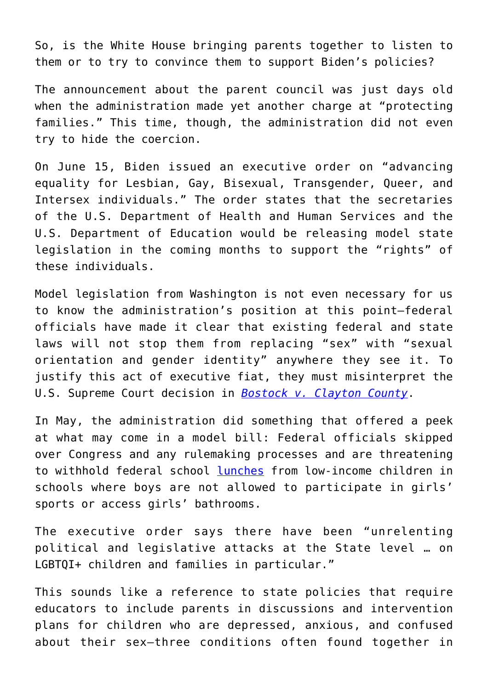So, is the White House bringing parents together to listen to them or to try to convince them to support Biden's policies?

The announcement about the parent council was just days old when the administration made yet another charge at "protecting families." This time, though, the administration did not even try to hide the coercion.

On June 15, Biden issued an executive order on "advancing equality for Lesbian, Gay, Bisexual, Transgender, Queer, and Intersex individuals." The order states that the secretaries of the U.S. Department of Health and Human Services and the U.S. Department of Education would be releasing model state legislation in the coming months to support the "rights" of these individuals.

Model legislation from Washington is not even necessary for us to know the administration's position at this point—federal officials have made it clear that existing federal and state laws will not stop them from replacing "sex" with "sexual orientation and gender identity" anywhere they see it. To justify this act of executive fiat, they must misinterpret the U.S. Supreme Court decision in *[Bostock v. Clayton County](https://www.dailysignal.com/2021/03/16/justices-title-vii-on-basis-of-sex-ruling-spawning-unintended-consequences-in-lower-courts/)*.

In May, the administration did something that offered a peek at what may come in a model bill: Federal officials skipped over Congress and any rulemaking processes and are threatening to withhold federal school [lunches](https://www.dailysignal.com/2022/06/09/biden-administration-holds-school-lunches-hostage-to-radical-transgender-agenda) from low-income children in schools where boys are not allowed to participate in girls' sports or access girls' bathrooms.

The executive order says there have been "unrelenting political and legislative attacks at the State level … on LGBTQI+ children and families in particular."

This sounds like a reference to state policies that require educators to include parents in discussions and intervention plans for children who are depressed, anxious, and confused about their sex—three conditions often found together in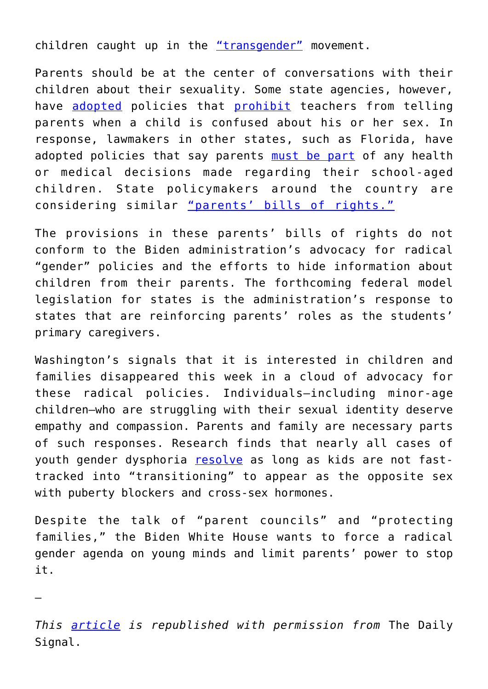children caught up in the ["transgender"](https://www.dailysignal.com/2016/02/16/i-used-to-be-transgender-heres-my-take-on-kids-who-think-they-are-transgender/) movement.

Parents should be at the center of conversations with their children about their sexuality. Some state agencies, however, have [adopted](https://www.foxnews.com/opinion/new-jersey-schools-phil-murphy-sex-education-jonathan-butcher) policies that [prohibit](https://www.heritage.org/education/commentary/radical-strategies-block-parents-care-their-schoolchildren) teachers from telling parents when a child is confused about his or her sex. In response, lawmakers in other states, such as Florida, have adopted policies that say parents [must be part](https://www.dailysignal.com/2022/02/11/floridas-parental-rights-in-education-bill-hits-target-gender-ideology-harms-kids) of any health or medical decisions made regarding their school-aged children. State policymakers around the country are considering similar ["parents' bills of rights."](https://www.heritage.org/education/report/protecting-children-and-families-parents-bills-rights)

The provisions in these parents' bills of rights do not conform to the Biden administration's advocacy for radical "gender" policies and the efforts to hide information about children from their parents. The forthcoming federal model legislation for states is the administration's response to states that are reinforcing parents' roles as the students' primary caregivers.

Washington's signals that it is interested in children and families disappeared this week in a cloud of advocacy for these radical policies. Individuals—including minor-age children—who are struggling with their sexual identity deserve empathy and compassion. Parents and family are necessary parts of such responses. Research finds that nearly all cases of youth gender dysphoria [resolve](https://www.dailysignal.com/2022/04/01/biden-doubles-down-on-radical-gender-affirming-care-for-kids) as long as kids are not fasttracked into "transitioning" to appear as the opposite sex with puberty blockers and cross-sex hormones.

Despite the talk of "parent councils" and "protecting families," the Biden White House wants to force a radical gender agenda on young minds and limit parents' power to stop it.

*This [article](https://www.dailysignal.com/2022/06/22/biden-administration-to-force-schools-to-adopt-radical-gender-policies-heres-what-you-need-to-know/) is republished with permission from* The Daily Signal.

—